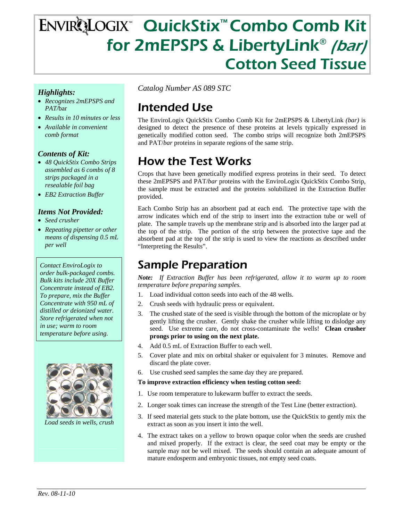# ENVIRQLOGIX<sup>™</sup> QuickStix<sup>™</sup> Combo Comb Kit for 2mEPSPS & LibertyLink® (bar) Cotton Seed Tissue

#### *Highlights:*

- *Recognizes 2mEPSPS and PAT/*bar
- *Results in 10 minutes or less*
- *Available in convenient comb format*

#### *Contents of Kit:*

- *48 QuickStix Combo Strips assembled as 6 combs of 8 strips packaged in a resealable foil bag*
- *EB2 Extraction Buffer*

#### *Items Not Provided:*

- *Seed crusher*
- *Repeating pipetter or other means of dispensing 0.5 mL per well*

*Contact EnviroLogix to order bulk-packaged combs. Bulk kits include 20X Buffer Concentrate instead of EB2. To prepare, mix the Buffer Concentrate with 950 mL of distilled or deionized water. Store refrigerated when not in use; warm to room temperature before using.* 



*Load seeds in wells, crus* 

*Catalog Number AS 089 STC* 

## Intended Use

The EnviroLogix QuickStix Combo Comb Kit for 2mEPSPS & LibertyLink *(bar)* is designed to detect the presence of these proteins at levels typically expressed in genetically modified cotton seed. The combo strips will recognize both 2mEPSPS and PAT/*bar* proteins in separate regions of the same strip.

### How the Test Works

Crops that have been genetically modified express proteins in their seed. To detect these 2mEPSPS and PAT/*bar* proteins with the EnviroLogix QuickStix Combo Strip, the sample must be extracted and the proteins solubilized in the Extraction Buffer provided.

Each Combo Strip has an absorbent pad at each end. The protective tape with the arrow indicates which end of the strip to insert into the extraction tube or well of plate. The sample travels up the membrane strip and is absorbed into the larger pad at the top of the strip. The portion of the strip between the protective tape and the absorbent pad at the top of the strip is used to view the reactions as described under "Interpreting the Results".

### Sample Preparation

*Note: If Extraction Buffer has been refrigerated, allow it to warm up to room temperature before preparing samples.* 

- 1. Load individual cotton seeds into each of the 48 wells.
- 2. Crush seeds with hydraulic press or equivalent.
- 3. The crushed state of the seed is visible through the bottom of the microplate or by gently lifting the crusher. Gently shake the crusher while lifting to dislodge any seed. Use extreme care, do not cross-contaminate the wells! **Clean crusher prongs prior to using on the next plate.**
- 4. Add 0.5 mL of Extraction Buffer to each well.
- 5. Cover plate and mix on orbital shaker or equivalent for 3 minutes. Remove and discard the plate cover.
- 6. Use crushed seed samples the same day they are prepared.

#### **To improve extraction efficiency when testing cotton seed:**

- 1. Use room temperature to lukewarm buffer to extract the seeds.
- 2. Longer soak times can increase the strength of the Test Line (better extraction).
- 3. If seed material gets stuck to the plate bottom, use the QuickStix to gently mix the extract as soon as you insert it into the well.
- 4. The extract takes on a yellow to brown opaque color when the seeds are crushed and mixed properly. If the extract is clear, the seed coat may be empty or the sample may not be well mixed. The seeds should contain an adequate amount of mature endosperm and embryonic tissues, not empty seed coats.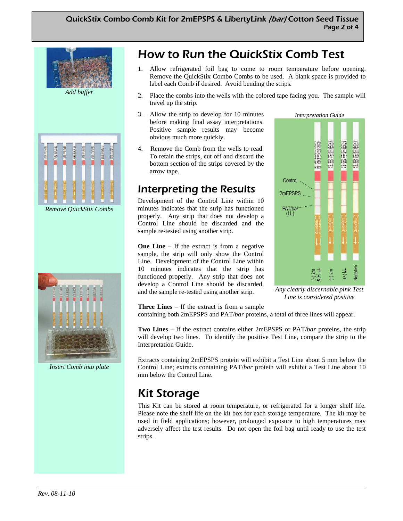

*Remove QuickStix Combs* 



*Insert Comb into plate* 

## How to Run the QuickStix Comb Test

- 1. Allow refrigerated foil bag to come to room temperature before opening. Remove the QuickStix Combo Combs to be used. A blank space is provided to label each Comb if desired. Avoid bending the strips.
- 2. Place the combs into the wells with the colored tape facing you. The sample will travel up the strip.
- 3. Allow the strip to develop for 10 minutes before making final assay interpretations. Positive sample results may become obvious much more quickly.
- 4. Remove the Comb from the wells to read. To retain the strips, cut off and discard the bottom section of the strips covered by the arrow tape.

### Interpreting the Results

Development of the Control Line within 10 minutes indicates that the strip has functioned properly. Any strip that does not develop a Control Line should be discarded and the sample re-tested using another strip.

**One Line** – If the extract is from a negative sample, the strip will only show the Control Line. Development of the Control Line within 10 minutes indicates that the strip has functioned properly. Any strip that does not develop a Control Line should be discarded, and the sample re-tested using another strip.



*Any clearly discernable pink Test Line is considered positive* 

**Three Lines** – If the extract is from a sample

containing both 2mEPSPS and PAT/*bar* proteins, a total of three lines will appear.

**Two Lines** – If the extract contains either 2mEPSPS or PAT/*bar* proteins, the strip will develop two lines. To identify the positive Test Line, compare the strip to the Interpretation Guide.

Extracts containing 2mEPSPS protein will exhibit a Test Line about 5 mm below the Control Line; extracts containing PAT/*bar* protein will exhibit a Test Line about 10 mm below the Control Line.

### Kit Storage

This Kit can be stored at room temperature, or refrigerated for a longer shelf life. Please note the shelf life on the kit box for each storage temperature. The kit may be used in field applications; however, prolonged exposure to high temperatures may adversely affect the test results. Do not open the foil bag until ready to use the test strips.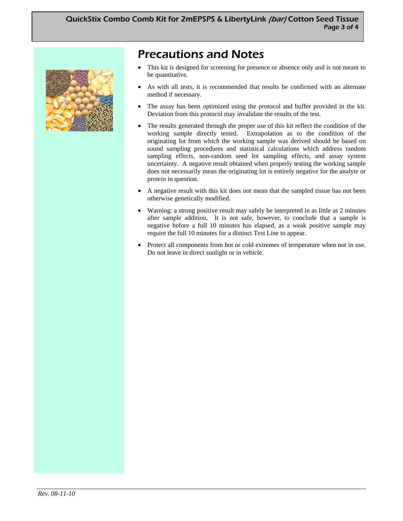

### Precautions and Notes

- This kit is designed for screening for presence or absence only and is not meant to be quantitative.
- As with all tests, it is recommended that results be confirmed with an alternate method if necessary.
- The assay has been optimized using the protocol and buffer provided in the kit. Deviation from this protocol may invalidate the results of the test.
- The results generated through the proper use of this kit reflect the condition of the working sample directly tested. Extrapolation as to the condition of the originating lot from which the working sample was derived should be based on sound sampling procedures and statistical calculations which address random sampling effects, non-random seed lot sampling effects, and assay system uncertainty. A negative result obtained when properly testing the working sample does not necessarily mean the originating lot is entirely negative for the analyte or protein in question.
- A negative result with this kit does not mean that the sampled tissue has not been otherwise genetically modified.
- Warning: a strong positive result may safely be interpreted in as little as 2 minutes after sample addition. It is not safe, however, to conclude that a sample is negative before a full 10 minutes has elapsed, as a weak positive sample may require the full 10 minutes for a distinct Test Line to appear.
- Protect all components from hot or cold extremes of temperature when not in use. Do not leave in direct sunlight or in vehicle.